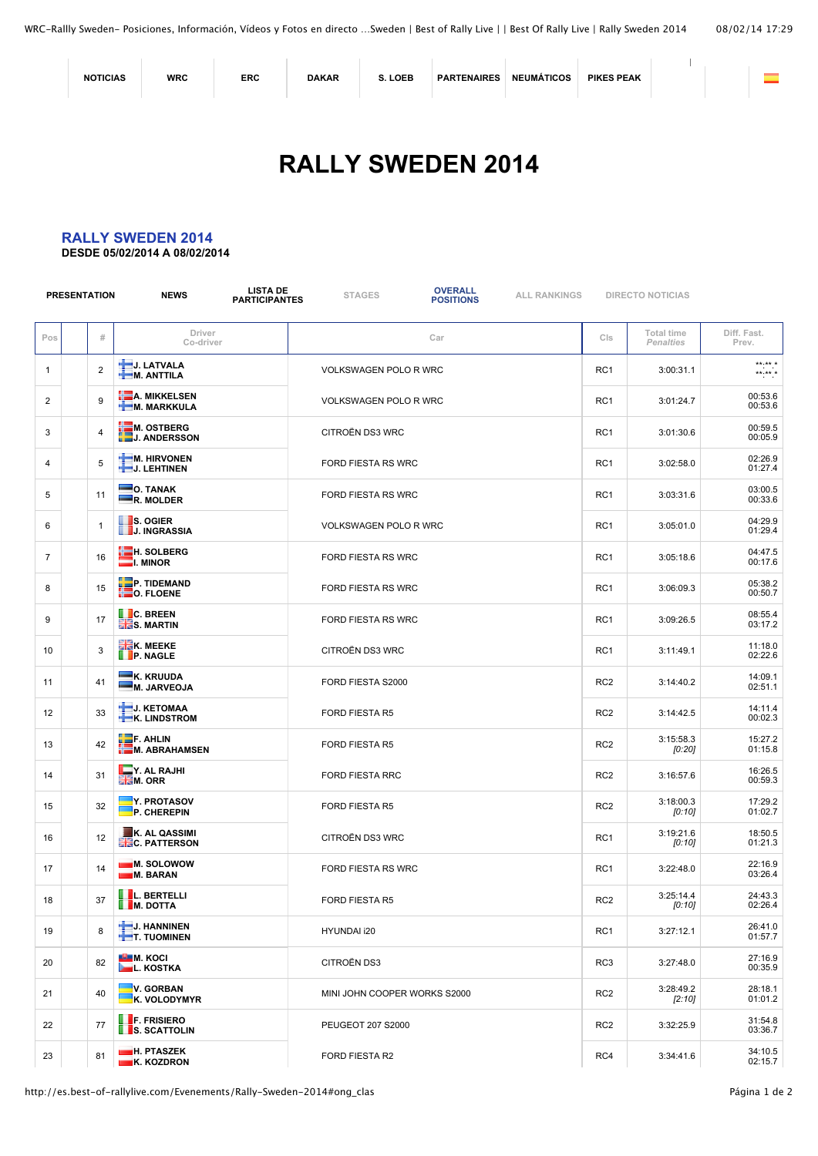| <b>NOTICIAS</b> | <b>WRC</b> | <b>ERC</b> | <b>DAKAR</b> | LOEB | <b>PARTENAIRES</b> | <b>NEUMÁTICOS</b> | <b>PIKES PEAK</b> |  |  |
|-----------------|------------|------------|--------------|------|--------------------|-------------------|-------------------|--|--|
|-----------------|------------|------------|--------------|------|--------------------|-------------------|-------------------|--|--|

## **[RALLY SWEDEN 2014](http://es.best-of-rallylive.com/Evenements/Rally-Sweden-2014)**

## **RALLY SWEDEN 2014**

**DESDE 05/02/2014 A 08/02/2014**

|                | <b>PRESENTATION</b> |                | <b>LISTA DE</b><br><b>NEWS</b><br><b>PARTICIPANTES</b> | <b>STAGES</b>                | <b>OVERALL</b><br><b>POSITIONS</b> | <b>ALL RANKINGS</b> |                 | <b>DIRECTO NOTICIAS</b>               |                      |
|----------------|---------------------|----------------|--------------------------------------------------------|------------------------------|------------------------------------|---------------------|-----------------|---------------------------------------|----------------------|
| Pos            |                     | #              | Driver<br>Co-driver                                    |                              | Car                                |                     | Cls             | <b>Total time</b><br><b>Penalties</b> | Diff. Fast.<br>Prev. |
| 1              |                     | $\overline{2}$ | J. LATVALA<br>M. ANTTILA                               | VOLKSWAGEN POLO R WRC        |                                    |                     | RC <sub>1</sub> | 3:00:31.1                             | $*****$<br>$*****$   |
| 2              |                     | 9              | <b>A. MIKKELSEN</b><br>M. MARKKULA                     | <b>VOLKSWAGEN POLO R WRC</b> |                                    |                     | RC1             | 3:01:24.7                             | 00:53.6<br>00:53.6   |
| 3              |                     | $\overline{4}$ | <b>HEM. OSTBERG<br/>LEJ. ANDERSSON</b>                 | CITROËN DS3 WRC              |                                    |                     | RC <sub>1</sub> | 3:01:30.6                             | 00:59.5<br>00:05.9   |
| 4              |                     | 5              | <b>M. HIRVONEN</b><br>J. LEHTINEN                      | FORD FIESTA RS WRC           |                                    |                     | RC1             | 3:02:58.0                             | 02:26.9<br>01:27.4   |
| 5              |                     | 11             | $\blacksquare$ O. TANAK<br>R. MOLDER                   | <b>FORD FIESTA RS WRC</b>    |                                    |                     | RC <sub>1</sub> | 3:03:31.6                             | 03:00.5<br>00:33.6   |
| 6              |                     | $\mathbf{1}$   | <b>S. OGIER</b><br><b>J. INGRASSIA</b>                 | <b>VOLKSWAGEN POLO R WRC</b> |                                    |                     | RC <sub>1</sub> | 3:05:01.0                             | 04:29.9<br>01:29.4   |
| $\overline{7}$ |                     | 16             | <b>HE</b> H. SOLBERG<br>$\blacksquare$ I. MINOR        | <b>FORD FIESTA RS WRC</b>    |                                    |                     | RC <sub>1</sub> | 3:05:18.6                             | 04:47.5<br>00:17.6   |
| 8              |                     | 15             | <b>P. TIDEMAND</b><br><b>EO. FLOENE</b>                | <b>FORD FIESTA RS WRC</b>    |                                    |                     | RC <sub>1</sub> | 3:06:09.3                             | 05:38.2<br>00:50.7   |
| 9              |                     | 17             | <b>C. BREEN</b><br><b>HES. MARTIN</b>                  | FORD FIESTA RS WRC           |                                    |                     | RC <sub>1</sub> | 3:09:26.5                             | 08:55.4<br>03:17.2   |
| 10             |                     | 3              | <b>ERK. MEEKE</b><br><b>P. NAGLE</b>                   | <b>CITROËN DS3 WRC</b>       |                                    |                     | RC1             | 3:11:49.1                             | 11:18.0<br>02:22.6   |
| 11             |                     | 41             | K. KRUUDA<br>M. JARVEOJA                               | FORD FIESTA S2000            |                                    |                     | RC <sub>2</sub> | 3:14:40.2                             | 14:09.1<br>02:51.1   |
| 12             |                     | 33             | J. KETOMAA<br><b>K. LINDSTROM</b>                      | <b>FORD FIESTA R5</b>        |                                    |                     | RC <sub>2</sub> | 3:14:42.5                             | 14:11.4<br>00:02.3   |
| 13             |                     | 42             | $\Box$ F. AHLIN<br>M. ABRAHAMSEN                       | <b>FORD FIESTA R5</b>        |                                    |                     | RC <sub>2</sub> | 3:15:58.3<br>[0:20]                   | 15:27.2<br>01:15.8   |
| 14             |                     | 31             | $\blacksquare$ Y. AL RAJHI<br><b>MEM. ORR</b>          | <b>FORD FIESTA RRC</b>       |                                    |                     | RC <sub>2</sub> | 3:16:57.6                             | 16:26.5<br>00:59.3   |
| 15             |                     | 32             | Y. PROTASOV<br>P. CHEREPIN                             | FORD FIESTA R5               |                                    |                     | RC <sub>2</sub> | 3:18:00.3<br>[0:10]                   | 17:29.2<br>01:02.7   |
| 16             |                     | 12             | K. AL QASSIMI<br><b>HE</b> C. PATTERSON                | <b>CITROËN DS3 WRC</b>       |                                    |                     | RC1             | 3:19:21.6<br>[0:10]                   | 18:50.5<br>01:21.3   |
| 17             |                     | 14             | <b>M. SOLOWOW</b><br><b>M. BARAN</b>                   | <b>FORD FIESTA RS WRC</b>    |                                    |                     | RC1             | 3:22:48.0                             | 22:16.9<br>03:26.4   |
| 18             |                     | 37             | <b>II.</b> L. BERTELLI<br><b>M.</b> DOTTA              | FORD FIESTA R5               |                                    |                     | RC <sub>2</sub> | 3:25:14.4<br>[0:10]                   | 24:43.3<br>02:26.4   |
| 19             |                     | 8              | J. HANNINEN<br><b>T.</b> TUOMINEN                      | HYUNDAI i20                  |                                    |                     | RC1             | 3:27:12.1                             | 26:41.0<br>01:57.7   |
| 20             |                     | 82             | <b>LE M. KOCI</b><br><b>L.</b> KOSTKA                  | CITROËN DS3                  |                                    |                     | RC <sub>3</sub> | 3:27:48.0                             | 27:16.9<br>00:35.9   |
| 21             |                     | 40             | V. GORBAN<br>K. VOLODYMYR                              | MINI JOHN COOPER WORKS S2000 |                                    |                     | RC <sub>2</sub> | 3:28:49.2<br>$[2:10]$                 | 28:18.1<br>01:01.2   |
| 22             |                     | 77             | <b>F. FRISIERO</b><br><b>S. SCATTOLIN</b>              | PEUGEOT 207 S2000            |                                    |                     | RC <sub>2</sub> | 3:32:25.9                             | 31:54.8<br>03:36.7   |
| 23             |                     | 81             | <b>H. PTASZEK</b><br>K. KOZDRON                        | FORD FIESTA R2               |                                    |                     | RC4             | 3:34:41.6                             | 34:10.5<br>02:15.7   |